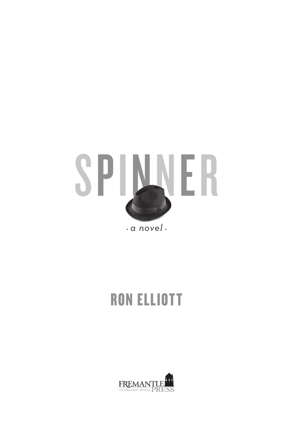

## **RON ELLIOTT**

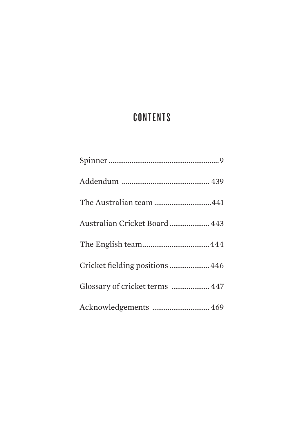## **CONTENTS**

| The Australian team 441         |
|---------------------------------|
| Australian Cricket Board  443   |
|                                 |
| Cricket fielding positions  446 |
| Glossary of cricket terms  447  |
| Acknowledgements  469           |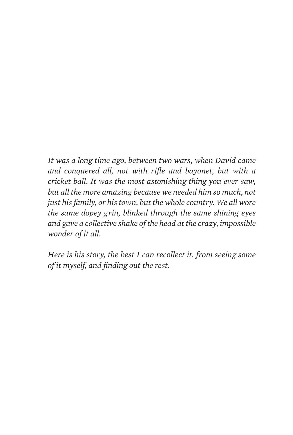*It was a long time ago, between two wars, when David came and conquered all, not with rifle and bayonet, but with a cricket ball. It was the most astonishing thing you ever saw, but all the more amazing because we needed him so much, not just his family, or his town, but the whole country. We all wore the same dopey grin, blinked through the same shining eyes and gave a collective shake of the head at the crazy, impossible wonder of it all.* 

*Here is his story, the best I can recollect it, from seeing some of it myself, and finding out the rest.*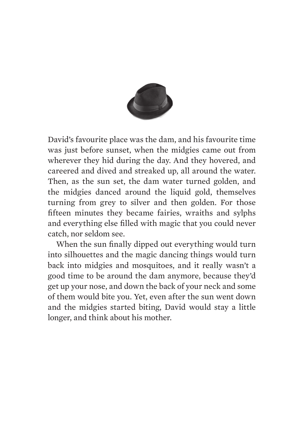

David's favourite place was the dam, and his favourite time was just before sunset, when the midgies came out from wherever they hid during the day. And they hovered, and careered and dived and streaked up, all around the water. Then, as the sun set, the dam water turned golden, and the midgies danced around the liquid gold, themselves turning from grey to silver and then golden. For those fifteen minutes they became fairies, wraiths and sylphs and everything else filled with magic that you could never catch, nor seldom see.

When the sun finally dipped out everything would turn into silhouettes and the magic dancing things would turn back into midgies and mosquitoes, and it really wasn't a good time to be around the dam anymore, because they'd get up your nose, and down the back of your neck and some of them would bite you. Yet, even after the sun went down and the midgies started biting, David would stay a little longer, and think about his mother.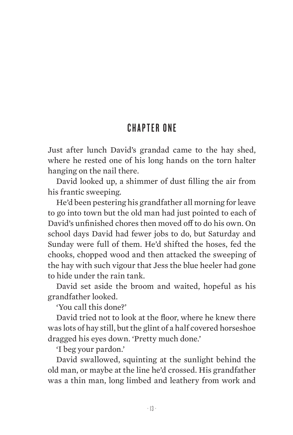## **CHAPTER ONF**

Just after lunch David's grandad came to the hay shed, where he rested one of his long hands on the torn halter hanging on the nail there.

David looked up, a shimmer of dust filling the air from his frantic sweeping.

He'd been pestering his grandfather all morning for leave to go into town but the old man had just pointed to each of David's unfinished chores then moved off to do his own. On school days David had fewer jobs to do, but Saturday and Sunday were full of them. He'd shifted the hoses, fed the chooks, chopped wood and then attacked the sweeping of the hay with such vigour that Jess the blue heeler had gone to hide under the rain tank.

David set aside the broom and waited, hopeful as his grandfather looked.

'You call this done?'

David tried not to look at the floor, where he knew there was lots of hay still, but the glint of a half covered horseshoe dragged his eyes down. 'Pretty much done.'

'I beg your pardon.'

David swallowed, squinting at the sunlight behind the old man, or maybe at the line he'd crossed. His grandfather was a thin man, long limbed and leathery from work and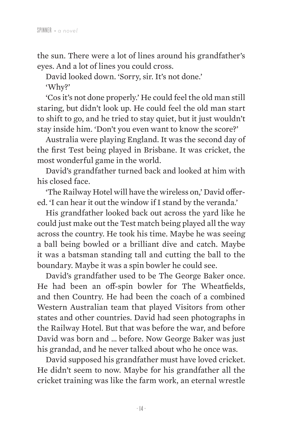the sun. There were a lot of lines around his grandfather's eyes. And a lot of lines you could cross.

David looked down. 'Sorry, sir. It's not done.' 'Why?'

'Cos it's not done properly.' He could feel the old man still staring, but didn't look up. He could feel the old man start to shift to go, and he tried to stay quiet, but it just wouldn't stay inside him. 'Don't you even want to know the score?'

Australia were playing England. It was the second day of the first Test being played in Brisbane. It was cricket, the most wonderful game in the world.

David's grandfather turned back and looked at him with his closed face.

'The Railway Hotel will have the wireless on,' David offered. 'I can hear it out the window if I stand by the veranda.'

His grandfather looked back out across the yard like he could just make out the Test match being played all the way across the country. He took his time. Maybe he was seeing a ball being bowled or a brilliant dive and catch. Maybe it was a batsman standing tall and cutting the ball to the boundary. Maybe it was a spin bowler he could see.

David's grandfather used to be The George Baker once. He had been an off-spin bowler for The Wheatfields, and then Country. He had been the coach of a combined Western Australian team that played Visitors from other states and other countries. David had seen photographs in the Railway Hotel. But that was before the war, and before David was born and … before. Now George Baker was just his grandad, and he never talked about who he once was.

David supposed his grandfather must have loved cricket. He didn't seem to now. Maybe for his grandfather all the cricket training was like the farm work, an eternal wrestle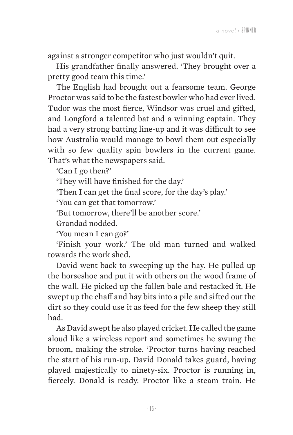against a stronger competitor who just wouldn't quit.

His grandfather finally answered. 'They brought over a pretty good team this time.'

The English had brought out a fearsome team. George Proctor was said to be the fastest bowler who had ever lived. Tudor was the most fierce, Windsor was cruel and gifted, and Longford a talented bat and a winning captain. They had a very strong batting line-up and it was difficult to see how Australia would manage to bowl them out especially with so few quality spin bowlers in the current game. That's what the newspapers said.

'Can I go then?'

'They will have finished for the day.'

'Then I can get the final score, for the day's play.'

'You can get that tomorrow.'

'But tomorrow, there'll be another score.'

Grandad nodded.

'You mean I can go?'

'Finish your work.' The old man turned and walked towards the work shed.

David went back to sweeping up the hay. He pulled up the horseshoe and put it with others on the wood frame of the wall. He picked up the fallen bale and restacked it. He swept up the chaff and hay bits into a pile and sifted out the dirt so they could use it as feed for the few sheep they still had.

As David swept he also played cricket. He called the game aloud like a wireless report and sometimes he swung the broom, making the stroke. 'Proctor turns having reached the start of his run-up. David Donald takes guard, having played majestically to ninety-six. Proctor is running in, fiercely. Donald is ready. Proctor like a steam train. He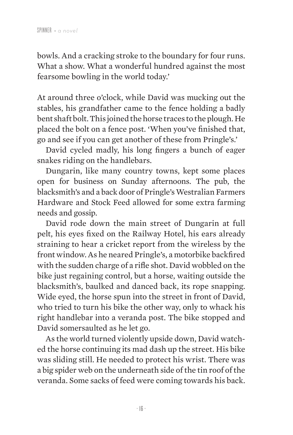bowls. And a cracking stroke to the boundary for four runs. What a show. What a wonderful hundred against the most fearsome bowling in the world today.'

At around three o'clock, while David was mucking out the stables, his grandfather came to the fence holding a badly bent shaft bolt. This joined the horse traces to the plough. He placed the bolt on a fence post. 'When you've finished that, go and see if you can get another of these from Pringle's.'

David cycled madly, his long fingers a bunch of eager snakes riding on the handlebars.

Dungarin, like many country towns, kept some places open for business on Sunday afternoons. The pub, the blacksmith's and a back door of Pringle's Westralian Farmers Hardware and Stock Feed allowed for some extra farming needs and gossip.

David rode down the main street of Dungarin at full pelt, his eyes fixed on the Railway Hotel, his ears already straining to hear a cricket report from the wireless by the front window.As he neared Pringle's, a motorbike backfired with the sudden charge of a rifle shot. David wobbled on the bike just regaining control, but a horse, waiting outside the blacksmith's, baulked and danced back, its rope snapping. Wide eyed, the horse spun into the street in front of David, who tried to turn his bike the other way, only to whack his right handlebar into a veranda post. The bike stopped and David somersaulted as he let go.

As the world turned violently upside down, David watched the horse continuing its mad dash up the street. His bike was sliding still. He needed to protect his wrist. There was a big spider web on the underneath side of the tin roof of the veranda. Some sacks of feed were coming towards his back.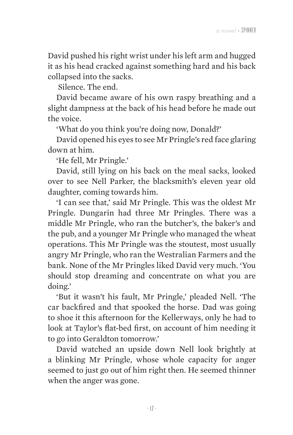David pushed his right wrist under his left arm and hugged it as his head cracked against something hard and his back collapsed into the sacks.

Silence. The end.

David became aware of his own raspy breathing and a slight dampness at the back of his head before he made out the voice.

'What do you think you're doing now, Donald?'

David opened his eyes to see Mr Pringle's red face glaring down at him.

'He fell, Mr Pringle.'

David, still lying on his back on the meal sacks, looked over to see Nell Parker, the blacksmith's eleven year old daughter, coming towards him.

'I can see that,' said Mr Pringle. This was the oldest Mr Pringle. Dungarin had three Mr Pringles. There was a middle Mr Pringle, who ran the butcher's, the baker's and the pub, and a younger Mr Pringle who managed the wheat operations. This Mr Pringle was the stoutest, most usually angry Mr Pringle, who ran the Westralian Farmers and the bank. None of the Mr Pringles liked David very much. 'You should stop dreaming and concentrate on what you are doing.'

'But it wasn't his fault, Mr Pringle,' pleaded Nell. 'The car backfired and that spooked the horse. Dad was going to shoe it this afternoon for the Kellerways, only he had to look at Taylor's flat-bed first, on account of him needing it to go into Geraldton tomorrow.'

David watched an upside down Nell look brightly at a blinking Mr Pringle, whose whole capacity for anger seemed to just go out of him right then. He seemed thinner when the anger was gone.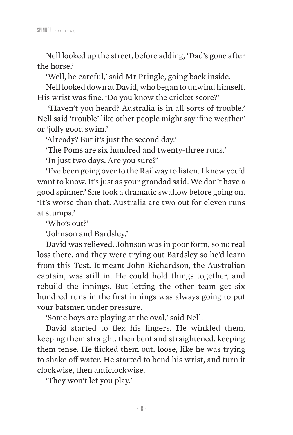Nell looked up the street, before adding, 'Dad's gone after the horse.'

'Well, be careful,' said Mr Pringle, going back inside.

Nell looked down at David,who began to unwind himself. His wrist was fine. 'Do you know the cricket score?'

'Haven't you heard? Australia is in all sorts of trouble.' Nell said 'trouble' like other people might say 'fine weather' or 'jolly good swim.'

'Already? But it's just the second day.'

'The Poms are six hundred and twenty-three runs.'

'In just two days. Are you sure?'

'I've been going over to theRailway to listen. I knewyou'd want to know. It's just as your grandad said. We don't have a good spinner.' She took a dramatic swallow before going on. 'It's worse than that. Australia are two out for eleven runs at stumps.'

'Who's out?'

'Johnson and Bardsley.'

David was relieved. Johnson was in poor form, so no real loss there, and they were trying out Bardsley so he'd learn from this Test. It meant John Richardson, the Australian captain, was still in. He could hold things together, and rebuild the innings. But letting the other team get six hundred runs in the first innings was always going to put your batsmen under pressure.

'Some boys are playing at the oval,' said Nell.

David started to flex his fingers. He winkled them, keeping them straight, then bent and straightened, keeping them tense. He flicked them out, loose, like he was trying to shake off water. He started to bend his wrist, and turn it clockwise, then anticlockwise.

'They won't let you play.'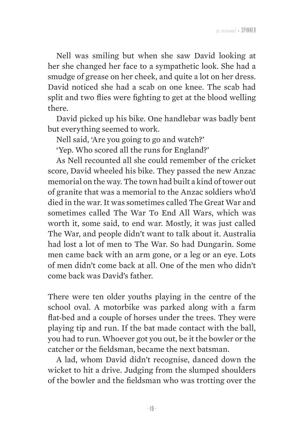Nell was smiling but when she saw David looking at her she changed her face to a sympathetic look. She had a smudge of grease on her cheek, and quite a lot on her dress. David noticed she had a scab on one knee. The scab had split and two flies were fighting to get at the blood welling there.

David picked up his bike. One handlebar was badly bent but everything seemed to work.

Nell said, 'Are you going to go and watch?'

'Yep. Who scored all the runs for England?'

As Nell recounted all she could remember of the cricket score, David wheeled his bike. They passed the new Anzac memorial on the way. The town had built a kind of tower out of granite that was a memorial to the Anzac soldiers who'd died in the war. It was sometimes called The Great War and sometimes called The War To End All Wars, which was worth it, some said, to end war. Mostly, it was just called The War, and people didn't want to talk about it. Australia had lost a lot of men to The War. So had Dungarin. Some men came back with an arm gone, or a leg or an eye. Lots of men didn't come back at all. One of the men who didn't come back was David's father.

There were ten older youths playing in the centre of the school oval. A motorbike was parked along with a farm flat-bed and a couple of horses under the trees. They were playing tip and run. If the bat made contact with the ball, you had to run. Whoever got you out, be it the bowler or the catcher or the fieldsman, became the next batsman.

A lad, whom David didn't recognise, danced down the wicket to hit a drive. Judging from the slumped shoulders of the bowler and the fieldsman who was trotting over the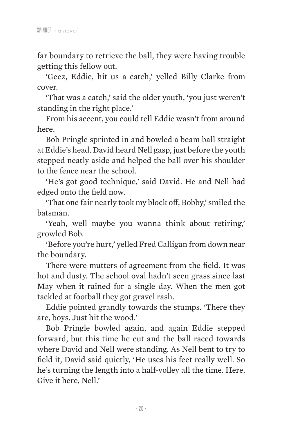far boundary to retrieve the ball, they were having trouble getting this fellow out.

'Geez, Eddie, hit us a catch,' yelled Billy Clarke from cover.

'That was a catch,' said the older youth, 'you just weren't standing in the right place.'

From his accent, you could tell Eddie wasn't from around here.

Bob Pringle sprinted in and bowled a beam ball straight at Eddie's head. David heard Nell gasp, just before the youth stepped neatly aside and helped the ball over his shoulder to the fence near the school.

'He's got good technique,' said David. He and Nell had edged onto the field now.

'That one fair nearly took my block off, Bobby,' smiled the batsman.

'Yeah, well maybe you wanna think about retiring,' growled Bob.

'Before you're hurt,' yelled Fred Calligan from down near the boundary.

There were mutters of agreement from the field. It was hot and dusty. The school oval hadn't seen grass since last May when it rained for a single day. When the men got tackled at football they got gravel rash.

Eddie pointed grandly towards the stumps. 'There they are, boys. Just hit the wood.'

Bob Pringle bowled again, and again Eddie stepped forward, but this time he cut and the ball raced towards where David and Nell were standing. As Nell bent to try to field it, David said quietly, 'He uses his feet really well. So he's turning the length into a half-volley all the time. Here. Give it here, Nell.'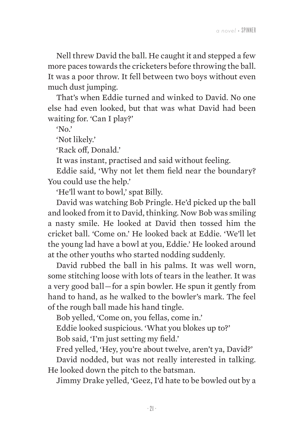Nell threw David the ball. He caught it and stepped a few more paces towards the cricketers before throwing the ball. It was a poor throw. It fell between two boys without even much dust jumping.

That's when Eddie turned and winked to David. No one else had even looked, but that was what David had been waiting for. 'Can I play?'

 $'$ No.'

'Not likely.'

'Rack off, Donald.'

It was instant, practised and said without feeling.

Eddie said, 'Why not let them field near the boundary? You could use the help.'

'He'll want to bowl,' spat Billy.

David was watching Bob Pringle. He'd picked up the ball and looked from it to David, thinking. Now Bob was smiling a nasty smile. He looked at David then tossed him the cricket ball. 'Come on.' He looked back at Eddie. 'We'll let the young lad have a bowl at you, Eddie.' He looked around at the other youths who started nodding suddenly.

David rubbed the ball in his palms. It was well worn, some stitching loose with lots of tears in the leather. It was a very good ball — for a spin bowler. He spun it gently from hand to hand, as he walked to the bowler's mark. The feel of the rough ball made his hand tingle.

Bob yelled, 'Come on, you fellas, come in.'

Eddie looked suspicious. 'What you blokes up to?'

Bob said, 'I'm just setting my field.'

Fred yelled, 'Hey, you're about twelve, aren't ya, David?'

David nodded, but was not really interested in talking. He looked down the pitch to the batsman.

Jimmy Drake yelled, 'Geez, I'd hate to be bowled out by a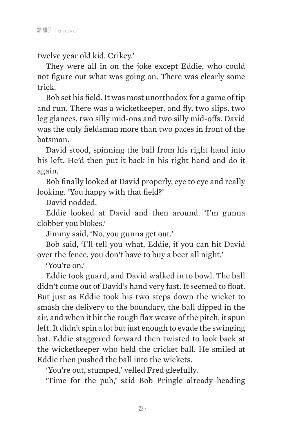twelve year old kid. Crikey.'

They were all in on the joke except Eddie, who could not figure out what was going on. There was clearly some trick.

Bob set his field. It was most unorthodox for a game of tip and run. There was a wicketkeeper, and fly, two slips, two leg glances, two silly mid-ons and two silly mid-offs. David was the only fieldsman more than two paces in front of the batsman.

David stood, spinning the ball from his right hand into his left. He'd then put it back in his right hand and do it again.

Bob finally looked at David properly, eye to eye and really looking. 'You happy with that field?'

David nodded.

Eddie looked at David and then around. 'I'm gunna clobber you blokes.'

Jimmy said, 'No, you gunna get out.'

Bob said, 'I'll tell you what, Eddie, if you can hit David over the fence, you don't have to buy a beer all night.'

'You're on.'

Eddie took guard, and David walked in to bowl. The ball didn't come out of David's hand very fast. It seemed to float. But just as Eddie took his two steps down the wicket to smash the delivery to the boundary, the ball dipped in the air, and when it hit the rough flax weave of the pitch, it spun left. It didn't spin a lot but just enough to evade the swinging bat. Eddie staggered forward then twisted to look back at the wicketkeeper who held the cricket ball. He smiled at Eddie then pushed the ball into the wickets.

'You're out, stumped,' yelled Fred gleefully.

'Time for the pub,' said Bob Pringle already heading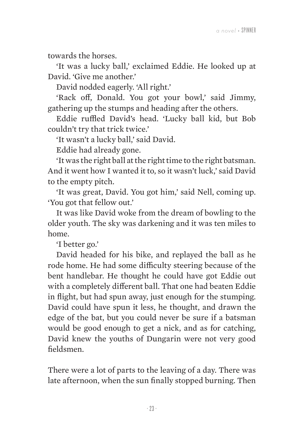towards the horses.

'It was a lucky ball,' exclaimed Eddie. He looked up at David. 'Give me another.'

David nodded eagerly. 'All right.'

'Rack off, Donald. You got your bowl,' said Jimmy, gathering up the stumps and heading after the others.

Eddie ruffled David's head. 'Lucky ball kid, but Bob couldn't try that trick twice.'

'It wasn't a lucky ball,' said David.

Eddie had already gone.

'It was the right ball at the right time to the right batsman. And it went how I wanted it to, so it wasn't luck,' said David to the empty pitch.

'It was great, David. You got him,' said Nell, coming up. 'You got that fellow out.'

It was like David woke from the dream of bowling to the older youth. The sky was darkening and it was ten miles to home.

'I better go.'

David headed for his bike, and replayed the ball as he rode home. He had some difficulty steering because of the bent handlebar. He thought he could have got Eddie out with a completely different ball. That one had beaten Eddie in flight, but had spun away, just enough for the stumping. David could have spun it less, he thought, and drawn the edge of the bat, but you could never be sure if a batsman would be good enough to get a nick, and as for catching, David knew the youths of Dungarin were not very good fieldsmen.

There were a lot of parts to the leaving of a day. There was late afternoon, when the sun finally stopped burning. Then